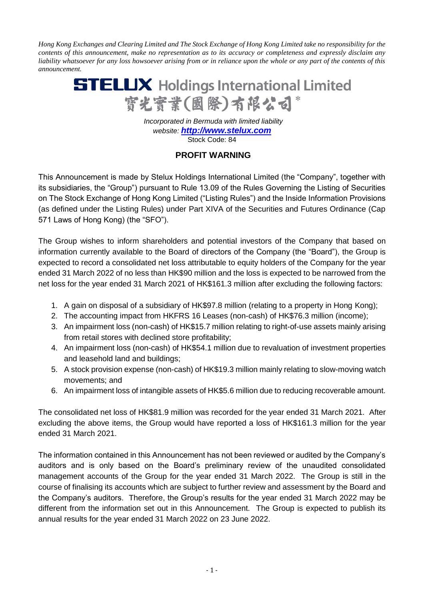*Hong Kong Exchanges and Clearing Limited and The Stock Exchange of Hong Kong Limited take no responsibility for the contents of this announcement, make no representation as to its accuracy or completeness and expressly disclaim any liability whatsoever for any loss howsoever arising from or in reliance upon the whole or any part of the contents of this announcement.*



 *Incorporated in Bermuda with limited liability website: [http://www.stelux.com](http://www.stelux.com/)* Stock Code: 84

## **PROFIT WARNING**

This Announcement is made by Stelux Holdings International Limited (the "Company", together with its subsidiaries, the "Group") pursuant to Rule 13.09 of the Rules Governing the Listing of Securities on The Stock Exchange of Hong Kong Limited ("Listing Rules") and the Inside Information Provisions (as defined under the Listing Rules) under Part XIVA of the Securities and Futures Ordinance (Cap 571 Laws of Hong Kong) (the "SFO").

The Group wishes to inform shareholders and potential investors of the Company that based on information currently available to the Board of directors of the Company (the "Board"), the Group is expected to record a consolidated net loss attributable to equity holders of the Company for the year ended 31 March 2022 of no less than HK\$90 million and the loss is expected to be narrowed from the net loss for the year ended 31 March 2021 of HK\$161.3 million after excluding the following factors:

- 1. A gain on disposal of a subsidiary of HK\$97.8 million (relating to a property in Hong Kong);
- 2. The accounting impact from HKFRS 16 Leases (non-cash) of HK\$76.3 million (income);
- 3. An impairment loss (non-cash) of HK\$15.7 million relating to right-of-use assets mainly arising from retail stores with declined store profitability;
- 4. An impairment loss (non-cash) of HK\$54.1 million due to revaluation of investment properties and leasehold land and buildings;
- 5. A stock provision expense (non-cash) of HK\$19.3 million mainly relating to slow-moving watch movements; and
- 6. An impairment loss of intangible assets of HK\$5.6 million due to reducing recoverable amount.

The consolidated net loss of HK\$81.9 million was recorded for the year ended 31 March 2021. After excluding the above items, the Group would have reported a loss of HK\$161.3 million for the year ended 31 March 2021.

The information contained in this Announcement has not been reviewed or audited by the Company's auditors and is only based on the Board's preliminary review of the unaudited consolidated management accounts of the Group for the year ended 31 March 2022. The Group is still in the course of finalising its accounts which are subject to further review and assessment by the Board and the Company's auditors. Therefore, the Group's results for the year ended 31 March 2022 may be different from the information set out in this Announcement. The Group is expected to publish its annual results for the year ended 31 March 2022 on 23 June 2022.